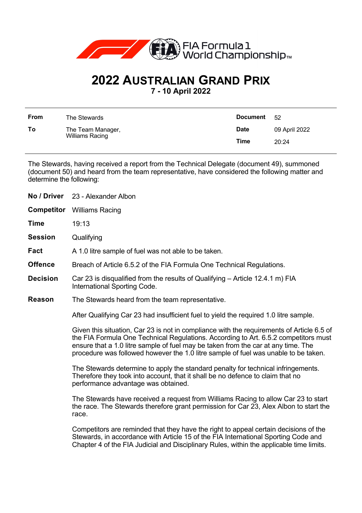

## **2022 AUSTRALIAN GRAND PRIX**

**7 - 10 April 2022**

| <b>From</b> | The Stewards                         | <b>Document</b> | - 52          |
|-------------|--------------------------------------|-----------------|---------------|
| To          | The Team Manager,<br>Williams Racing | <b>Date</b>     | 09 April 2022 |
|             |                                      | Time            | 20:24         |

The Stewards, having received a report from the Technical Delegate (document 49), summoned (document 50) and heard from the team representative, have considered the following matter and determine the following:

| No / Driver     | 23 - Alexander Albon                                                                                                                                                                                                                                                                                                                                         |  |
|-----------------|--------------------------------------------------------------------------------------------------------------------------------------------------------------------------------------------------------------------------------------------------------------------------------------------------------------------------------------------------------------|--|
| Competitor      | <b>Williams Racing</b>                                                                                                                                                                                                                                                                                                                                       |  |
| Time            | 19:13                                                                                                                                                                                                                                                                                                                                                        |  |
| <b>Session</b>  | Qualifying                                                                                                                                                                                                                                                                                                                                                   |  |
| Fact            | A 1.0 litre sample of fuel was not able to be taken.                                                                                                                                                                                                                                                                                                         |  |
| <b>Offence</b>  | Breach of Article 6.5.2 of the FIA Formula One Technical Regulations.                                                                                                                                                                                                                                                                                        |  |
| <b>Decision</b> | Car 23 is disqualified from the results of Qualifying – Article 12.4.1 m) FIA<br>International Sporting Code.                                                                                                                                                                                                                                                |  |
| Reason          | The Stewards heard from the team representative.                                                                                                                                                                                                                                                                                                             |  |
|                 | After Qualifying Car 23 had insufficient fuel to yield the required 1.0 litre sample.                                                                                                                                                                                                                                                                        |  |
|                 | Given this situation, Car 23 is not in compliance with the requirements of Article 6.5 of<br>the FIA Formula One Technical Regulations. According to Art. 6.5.2 competitors must<br>ensure that a 1.0 litre sample of fuel may be taken from the car at any time. The<br>procedure was followed however the 1.0 litre sample of fuel was unable to be taken. |  |
|                 | The Stewards determine to apply the standard penalty for technical infringements.<br>Therefore they took into account, that it shall be no defence to claim that no<br>performance advantage was obtained.                                                                                                                                                   |  |
|                 | The Stewards have received a request from Williams Racing to allow Car 23 to start<br>the race. The Stewards therefore grant permission for Car 23, Alex Albon to start the<br>race.                                                                                                                                                                         |  |
|                 | Competitors are reminded that they have the right to appeal certain decisions of the<br>Stewards, in accordance with Article 15 of the FIA International Sporting Code and<br>Chapter 4 of the FIA Judicial and Disciplinary Rules, within the applicable time limits.                                                                                       |  |
|                 |                                                                                                                                                                                                                                                                                                                                                              |  |